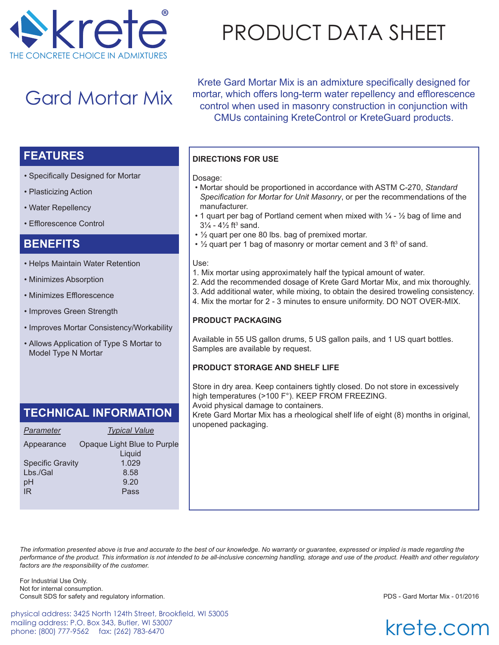

# Gard Mortar Mix

PRODUCT DATA SHEET

Krete Gard Mortar Mix is an admixture specifically designed for mortar, which offers long-term water repellency and efflorescence control when used in masonry construction in conjunction with CMUs containing KreteControl or KreteGuard products.

## **FEATURES**

- Specifically Designed for Mortar
- Plasticizing Action
- Water Repellency
- Efflorescence Control

## **BENEFITS**

- Helps Maintain Water Retention
- Minimizes Absorption
- Minimizes Efflorescence
- Improves Green Strength
- Improves Mortar Consistency/Workability
- Allows Application of Type S Mortar to Model Type N Mortar

## **TECHNICAL INFORMATION**

| Parameter               | <b>Typical Value</b>                  |
|-------------------------|---------------------------------------|
| Appearance              | Opaque Light Blue to Purple<br>Liquid |
| <b>Specific Gravity</b> | 1.029                                 |
| Lbs./Gal                | 8.58                                  |
| pH                      | 9.20                                  |
| <b>IR</b>               | Pass                                  |

### **DIRECTIONS FOR USE**

#### Dosage:

- Mortar should be proportioned in accordance with ASTM C-270, *Standard Specification for Mortar for Unit Masonry*, or per the recommendations of the manufacturer.
- 1 quart per bag of Portland cement when mixed with  $\frac{1}{4}$   $\frac{1}{2}$  bag of lime and  $3\frac{1}{4}$  -  $4\frac{1}{2}$  ft $^3$  sand.
- 1/2 quart per one 80 lbs. bag of premixed mortar.
- $\cdot$  ½ quart per 1 bag of masonry or mortar cement and 3 ft $^3$  of sand.

#### Use:

- 1. Mix mortar using approximately half the typical amount of water.
- 2. Add the recommended dosage of Krete Gard Mortar Mix, and mix thoroughly.
	- 3. Add additional water, while mixing, to obtain the desired troweling consistency.
	- 4. Mix the mortar for 2 3 minutes to ensure uniformity. DO NOT OVER-MIX.

### **PRODUCT PACKAGING**

Available in 55 US gallon drums, 5 US gallon pails, and 1 US quart bottles. Samples are available by request.

#### **PRODUCT STORAGE AND SHELF LIFE**

Store in dry area. Keep containers tightly closed. Do not store in excessively high temperatures (>100 F°). KEEP FROM FREEZING. Avoid physical damage to containers. Krete Gard Mortar Mix has a rheological shelf life of eight (8) months in original, unopened packaging.

*The information presented above is true and accurate to the best of our knowledge. No warranty or guarantee, expressed or implied is made regarding the performance of the product. This information is not intended to be all-inclusive concerning handling, storage and use of the product. Health and other regulatory factors are the responsibility of the customer.*

For Industrial Use Only. Not for internal consumption. Consult SDS for safety and regulatory information. PDS - Gard Mortar Mix - 01/2016

physical address: 3425 North 124th Street, Brookfield, WI 53005 mailing address: P.O. Box 343, Butler, WI 53007 phone: (800) 777-9562 fax: (262) 783-6470

krete.com